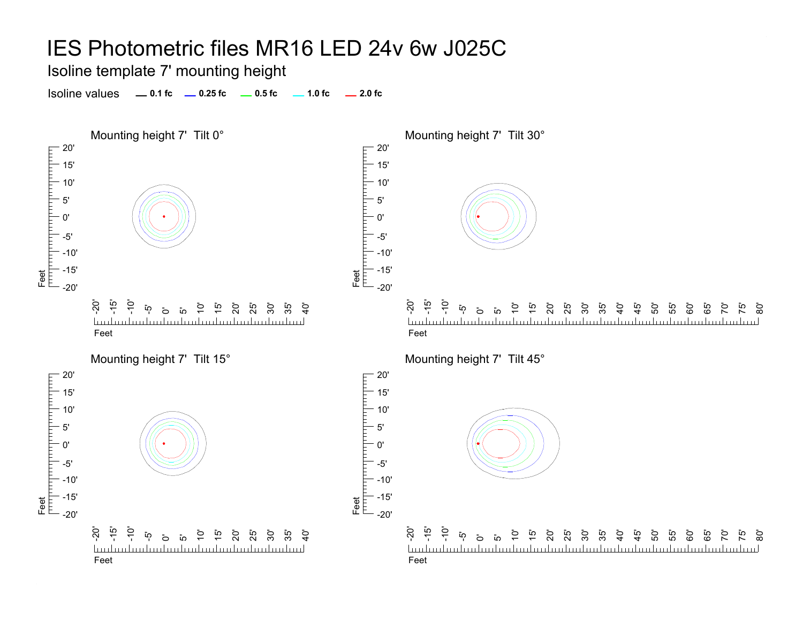Isoline template 7' mounting height

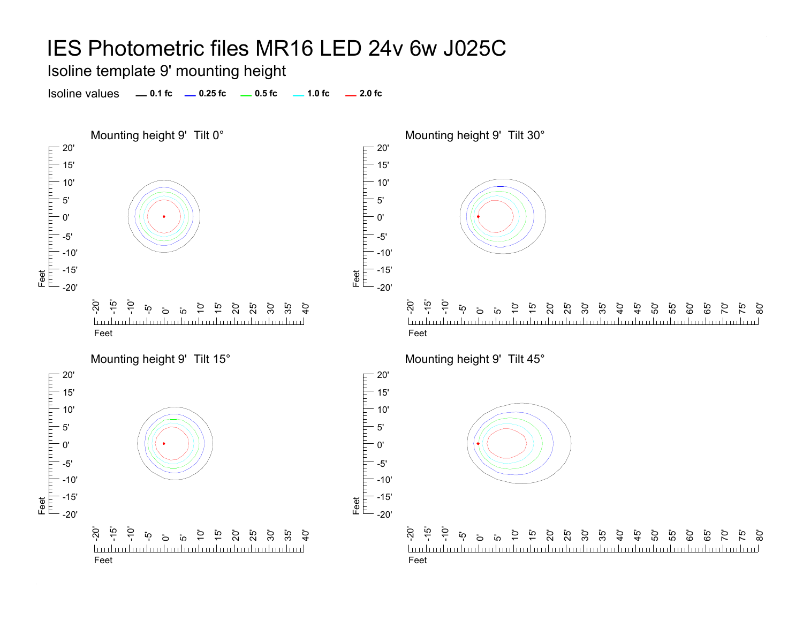Isoline template 9' mounting height

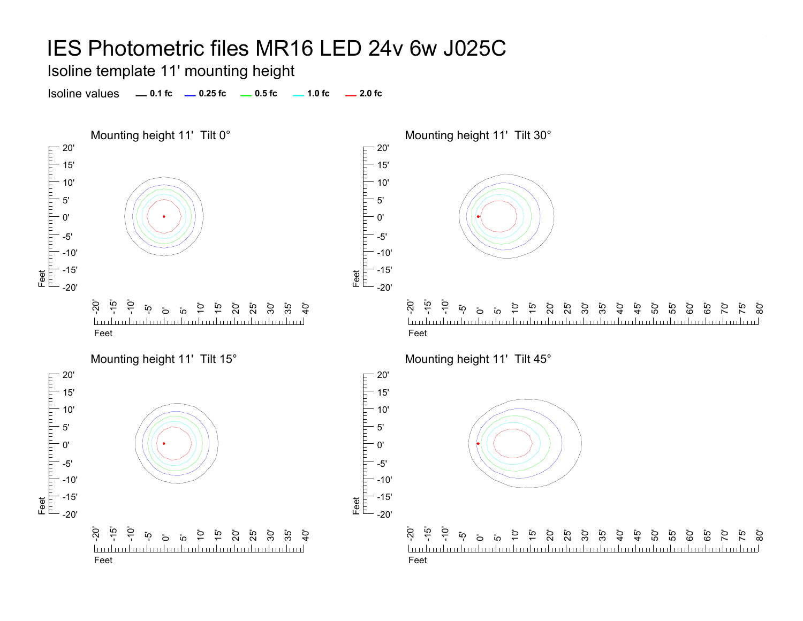Isoline template 11' mounting height

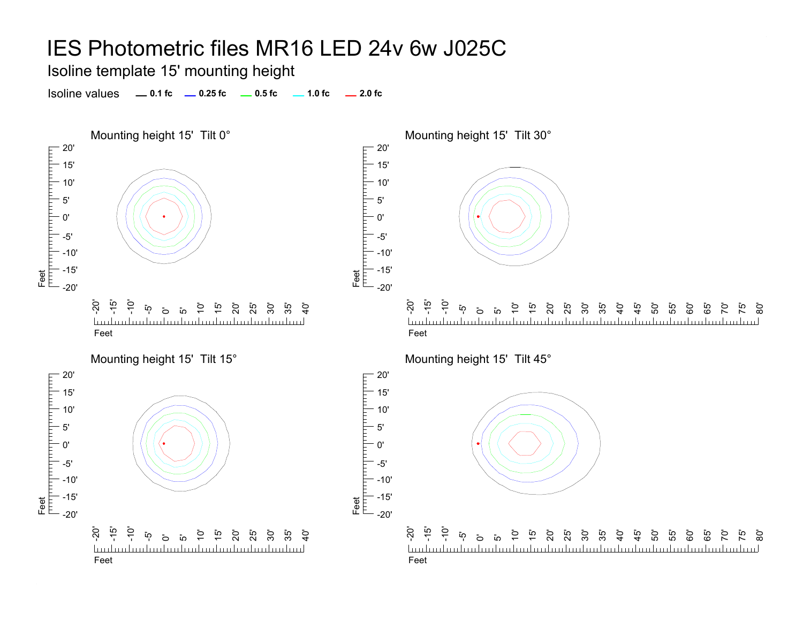Isoline template 15' mounting height

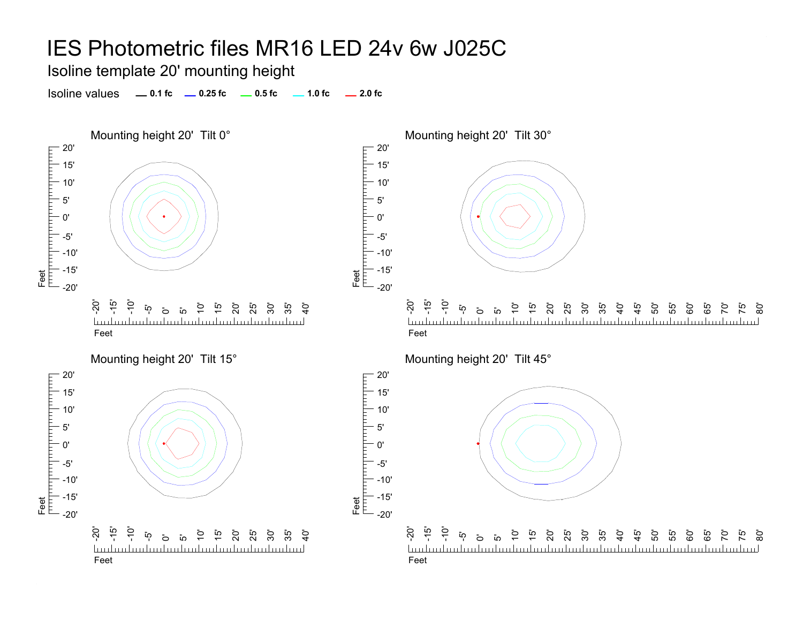Isoline template 20' mounting height

Isoline values **0.1 fc 0.25 fc 0.5 fc 2.0 fc 1.0 fc**





Mounting height 20' Tilt 45°

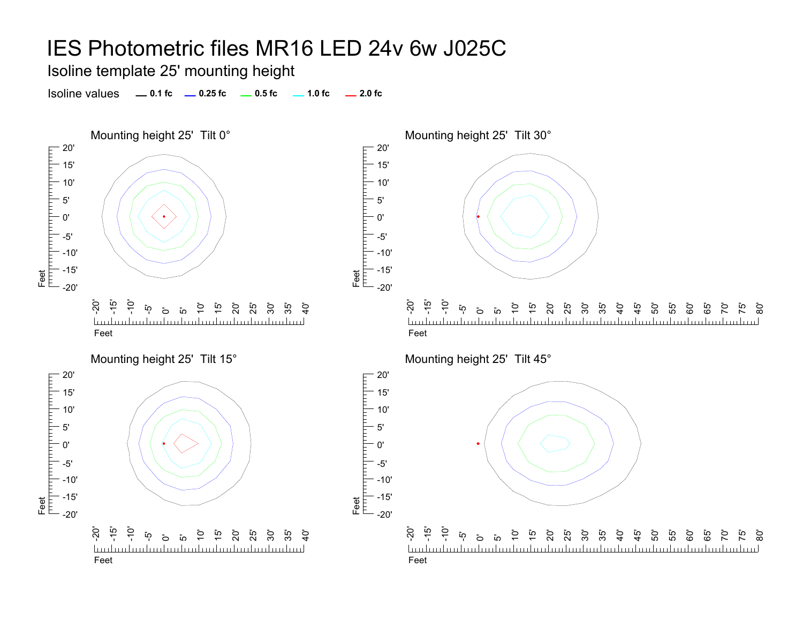Feet<br>T<sup>rin</sup> I<sup>nti</sup>l

Feet<br>|<sup>|||||</sup>|<sup>|||||||||</sup>|

5'0'-5'

прицпп

Isoline template 25' mounting height